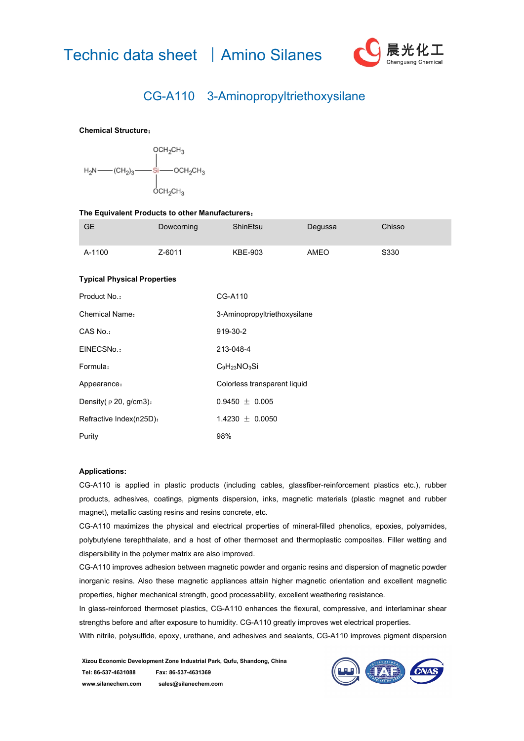



## CG-A110 3-Aminopropyltriethoxysilane

## **Chemical Structure**:



| The Equivalent Products to other Manufacturers: |            |                              |         |        |
|-------------------------------------------------|------------|------------------------------|---------|--------|
| <b>GE</b>                                       | Dowcorning | ShinEtsu                     | Degussa | Chisso |
| A-1100                                          | Z-6011     | <b>KBE-903</b>               | AMEO    | S330   |
| <b>Typical Physical Properties</b>              |            |                              |         |        |
| Product No.:                                    |            | CG-A110                      |         |        |
| Chemical Name:                                  |            | 3-Aminopropyltriethoxysilane |         |        |
| CAS No.:                                        |            | 919-30-2                     |         |        |
| EINECSNo.:                                      |            | 213-048-4                    |         |        |
| Formula:                                        |            | $C_9H_{23}NO_3Si$            |         |        |
| Appearance:                                     |            | Colorless transparent liquid |         |        |
| Density( $\rho$ 20, g/cm3):                     |            | $0.9450 \pm 0.005$           |         |        |
| Refractive Index(n25D):                         |            | 1.4230 $\pm$ 0.0050          |         |        |
| Purity                                          |            | 98%                          |         |        |

## **Applications:**

CG-A110 is applied in plastic products (including cables, glassfiber-reinforcement plastics etc.), rubber products, adhesives, coatings, pigments dispersion, inks, magnetic materials (plastic magnet and rubber magnet), metallic casting resins and resins concrete, etc.

CG-A110 maximizes the physical and electrical properties of mineral-filled phenolics, epoxies, polyamides, polybutylene terephthalate, and a host of other thermoset and thermoplastic composites. Filler wetting and dispersibility in the polymer matrix are also improved.

CG-A110 improves adhesion between magnetic powder and organic resins and dispersion of magnetic powder inorganic resins. Also these magnetic appliances attain higher magnetic orientation and excellent magnetic properties, higher mechanical strength, good processability, excellent weathering resistance.

In glass-reinforced thermoset plastics, CG-A110 enhances the flexural, compressive, and interlaminar shear strengths before and after exposure to humidity. CG-A110 greatly improves wet electrical properties.

With nitrile, polysulfide, epoxy, urethane, and adhesives and sealants, CG-A110 improves pigment dispersion

**Xizou Economic Development Zone Industrial Park, Qufu, Shandong, China Tel: 86-537-4631088 Fax: 86-537-4631369 www.silanechem.com sales@silanechem.com**